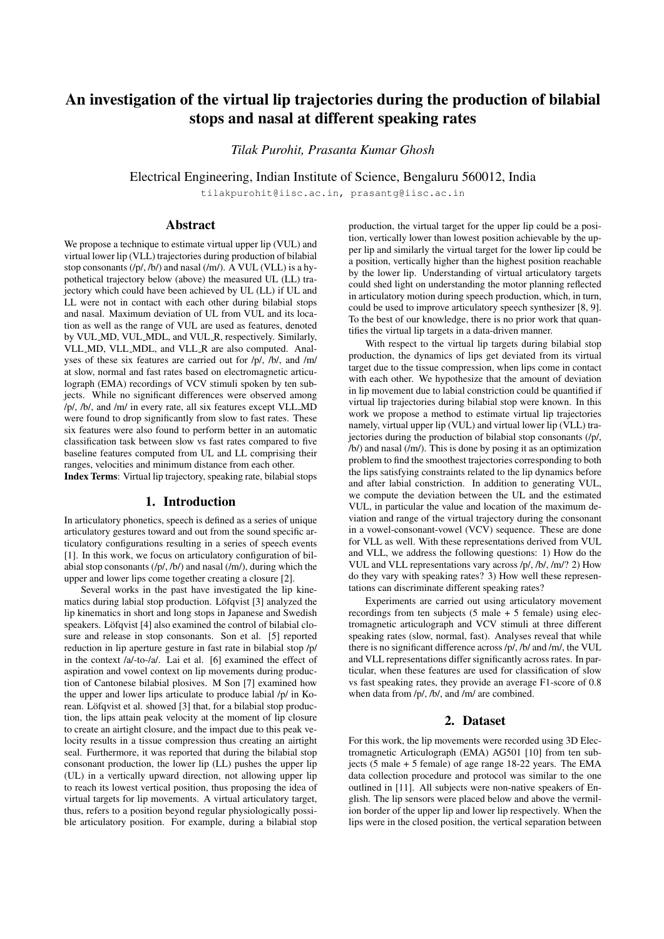# An investigation of the virtual lip trajectories during the production of bilabial stops and nasal at different speaking rates

*Tilak Purohit, Prasanta Kumar Ghosh*

Electrical Engineering, Indian Institute of Science, Bengaluru 560012, India

tilakpurohit@iisc.ac.in, prasantg@iisc.ac.in

# Abstract

We propose a technique to estimate virtual upper lip (VUL) and virtual lower lip (VLL) trajectories during production of bilabial stop consonants (/p/, /b/) and nasal (/m/). A VUL (VLL) is a hypothetical trajectory below (above) the measured UL (LL) trajectory which could have been achieved by UL (LL) if UL and LL were not in contact with each other during bilabial stops and nasal. Maximum deviation of UL from VUL and its location as well as the range of VUL are used as features, denoted by VUL MD, VUL MDL, and VUL R, respectively. Similarly, VLL MD, VLL MDL, and VLL R are also computed. Analyses of these six features are carried out for /p/, /b/, and /m/ at slow, normal and fast rates based on electromagnetic articulograph (EMA) recordings of VCV stimuli spoken by ten subjects. While no significant differences were observed among /p/, /b/, and /m/ in every rate, all six features except VLL MD were found to drop significantly from slow to fast rates. These six features were also found to perform better in an automatic classification task between slow vs fast rates compared to five baseline features computed from UL and LL comprising their ranges, velocities and minimum distance from each other. Index Terms: Virtual lip trajectory, speaking rate, bilabial stops

### 1. Introduction

In articulatory phonetics, speech is defined as a series of unique articulatory gestures toward and out from the sound specific articulatory configurations resulting in a series of speech events [1]. In this work, we focus on articulatory configuration of bilabial stop consonants (/p/, /b/) and nasal (/m/), during which the upper and lower lips come together creating a closure [2].

Several works in the past have investigated the lip kinematics during labial stop production. Löfqvist [3] analyzed the lip kinematics in short and long stops in Japanese and Swedish speakers. Löfqvist [4] also examined the control of bilabial closure and release in stop consonants. Son et al. [5] reported reduction in lip aperture gesture in fast rate in bilabial stop /p/ in the context /a/-to-/a/. Lai et al. [6] examined the effect of aspiration and vowel context on lip movements during production of Cantonese bilabial plosives. M Son [7] examined how the upper and lower lips articulate to produce labial /p/ in Korean. Löfqvist et al. showed [3] that, for a bilabial stop production, the lips attain peak velocity at the moment of lip closure to create an airtight closure, and the impact due to this peak velocity results in a tissue compression thus creating an airtight seal. Furthermore, it was reported that during the bilabial stop consonant production, the lower lip (LL) pushes the upper lip (UL) in a vertically upward direction, not allowing upper lip to reach its lowest vertical position, thus proposing the idea of virtual targets for lip movements. A virtual articulatory target, thus, refers to a position beyond regular physiologically possible articulatory position. For example, during a bilabial stop production, the virtual target for the upper lip could be a position, vertically lower than lowest position achievable by the upper lip and similarly the virtual target for the lower lip could be a position, vertically higher than the highest position reachable by the lower lip. Understanding of virtual articulatory targets could shed light on understanding the motor planning reflected in articulatory motion during speech production, which, in turn, could be used to improve articulatory speech synthesizer [8, 9]. To the best of our knowledge, there is no prior work that quantifies the virtual lip targets in a data-driven manner.

With respect to the virtual lip targets during bilabial stop production, the dynamics of lips get deviated from its virtual target due to the tissue compression, when lips come in contact with each other. We hypothesize that the amount of deviation in lip movement due to labial constriction could be quantified if virtual lip trajectories during bilabial stop were known. In this work we propose a method to estimate virtual lip trajectories namely, virtual upper lip (VUL) and virtual lower lip (VLL) trajectories during the production of bilabial stop consonants (/p/, /b/) and nasal (/m/). This is done by posing it as an optimization problem to find the smoothest trajectories corresponding to both the lips satisfying constraints related to the lip dynamics before and after labial constriction. In addition to generating VUL, we compute the deviation between the UL and the estimated VUL, in particular the value and location of the maximum deviation and range of the virtual trajectory during the consonant in a vowel-consonant-vowel (VCV) sequence. These are done for VLL as well. With these representations derived from VUL and VLL, we address the following questions: 1) How do the VUL and VLL representations vary across /p/, /b/, /m/? 2) How do they vary with speaking rates? 3) How well these representations can discriminate different speaking rates?

Experiments are carried out using articulatory movement recordings from ten subjects  $(5 \text{ male} + 5 \text{ female})$  using electromagnetic articulograph and VCV stimuli at three different speaking rates (slow, normal, fast). Analyses reveal that while there is no significant difference across /p/, /b/ and /m/, the VUL and VLL representations differ significantly across rates. In particular, when these features are used for classification of slow vs fast speaking rates, they provide an average F1-score of 0.8 when data from /p/, /b/, and /m/ are combined.

# 2. Dataset

For this work, the lip movements were recorded using 3D Electromagnetic Articulograph (EMA) AG501 [10] from ten subjects (5 male + 5 female) of age range  $18-22$  years. The EMA data collection procedure and protocol was similar to the one outlined in [11]. All subjects were non-native speakers of English. The lip sensors were placed below and above the vermilion border of the upper lip and lower lip respectively. When the lips were in the closed position, the vertical separation between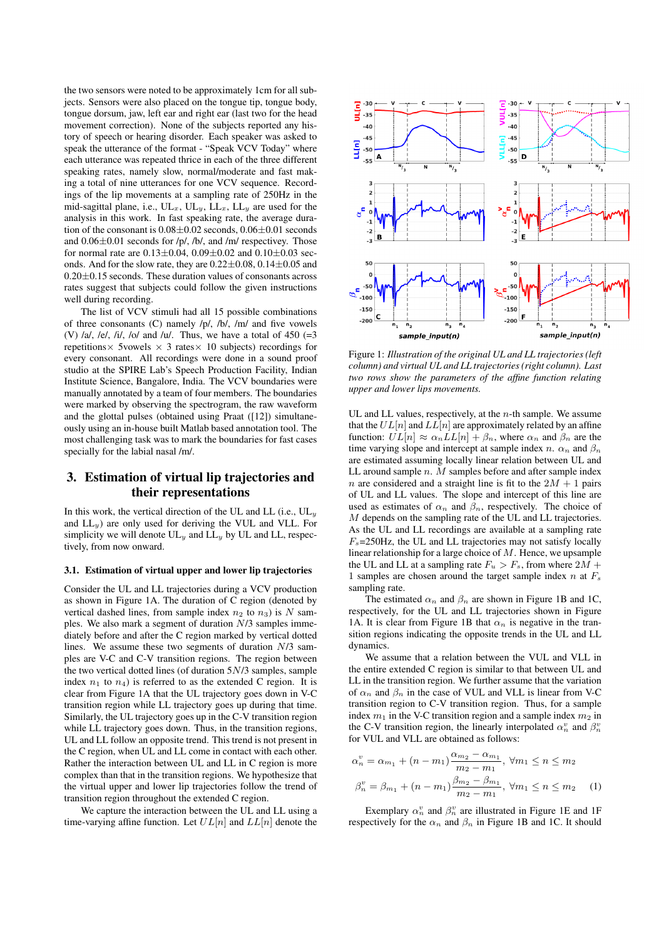the two sensors were noted to be approximately 1cm for all subjects. Sensors were also placed on the tongue tip, tongue body, tongue dorsum, jaw, left ear and right ear (last two for the head movement correction). None of the subjects reported any history of speech or hearing disorder. Each speaker was asked to speak the utterance of the format - "Speak VCV Today" where each utterance was repeated thrice in each of the three different speaking rates, namely slow, normal/moderate and fast making a total of nine utterances for one VCV sequence. Recordings of the lip movements at a sampling rate of 250Hz in the mid-sagittal plane, i.e.,  $UL_x$ ,  $UL_y$ ,  $LL_x$ ,  $LL_y$  are used for the analysis in this work. In fast speaking rate, the average duration of the consonant is  $0.08 \pm 0.02$  seconds,  $0.06 \pm 0.01$  seconds and  $0.06\pm0.01$  seconds for /p/, /b/, and /m/ respectivey. Those for normal rate are  $0.13 \pm 0.04$ ,  $0.09 \pm 0.02$  and  $0.10 \pm 0.03$  seconds. And for the slow rate, they are  $0.22\pm0.08$ ,  $0.14\pm0.05$  and  $0.20\pm0.15$  seconds. These duration values of consonants across rates suggest that subjects could follow the given instructions well during recording.

The list of VCV stimuli had all 15 possible combinations of three consonants (C) namely /p/, /b/, /m/ and five vowels (V)  $\lambda$ a,  $\lambda$ e,  $\lambda$ i,  $\lambda$ ,  $\lambda$ o and  $\lambda$ u. Thus, we have a total of 450 (=3) repetitions $\times$  5 vowels  $\times$  3 rates $\times$  10 subjects) recordings for every consonant. All recordings were done in a sound proof studio at the SPIRE Lab's Speech Production Facility, Indian Institute Science, Bangalore, India. The VCV boundaries were manually annotated by a team of four members. The boundaries were marked by observing the spectrogram, the raw waveform and the glottal pulses (obtained using Praat ([12]) simultaneously using an in-house built Matlab based annotation tool. The most challenging task was to mark the boundaries for fast cases specially for the labial nasal /m/.

# 3. Estimation of virtual lip trajectories and their representations

In this work, the vertical direction of the UL and LL (i.e.,  $UL_y$ and  $LL_y$ ) are only used for deriving the VUL and VLL. For simplicity we will denote  $UL_y$  and  $LL_y$  by UL and LL, respectively, from now onward.

### 3.1. Estimation of virtual upper and lower lip trajectories

Consider the UL and LL trajectories during a VCV production as shown in Figure 1A. The duration of C region (denoted by vertical dashed lines, from sample index  $n_2$  to  $n_3$ ) is N samples. We also mark a segment of duration N/3 samples immediately before and after the C region marked by vertical dotted lines. We assume these two segments of duration N/3 samples are V-C and C-V transition regions. The region between the two vertical dotted lines (of duration 5N/3 samples, sample index  $n_1$  to  $n_4$ ) is referred to as the extended C region. It is clear from Figure 1A that the UL trajectory goes down in V-C transition region while LL trajectory goes up during that time. Similarly, the UL trajectory goes up in the C-V transition region while LL trajectory goes down. Thus, in the transition regions, UL and LL follow an opposite trend. This trend is not present in the C region, when UL and LL come in contact with each other. Rather the interaction between UL and LL in C region is more complex than that in the transition regions. We hypothesize that the virtual upper and lower lip trajectories follow the trend of transition region throughout the extended C region.

We capture the interaction between the UL and LL using a time-varying affine function. Let  $UL[n]$  and  $LL[n]$  denote the



Figure 1: *Illustration of the original UL and LL trajectories (left column) and virtual UL and LL trajectories (right column). Last two rows show the parameters of the affine function relating upper and lower lips movements.*

UL and LL values, respectively, at the  $n$ -th sample. We assume that the  $UL[n]$  and  $LL[n]$  are approximately related by an affine function:  $UL[n] \approx \alpha_n LL[n] + \beta_n$ , where  $\alpha_n$  and  $\beta_n$  are the time varying slope and intercept at sample index n.  $\alpha_n$  and  $\beta_n$ are estimated assuming locally linear relation between UL and LL around sample  $n.$  M samples before and after sample index n are considered and a straight line is fit to the  $2M + 1$  pairs of UL and LL values. The slope and intercept of this line are used as estimates of  $\alpha_n$  and  $\beta_n$ , respectively. The choice of M depends on the sampling rate of the UL and LL trajectories. As the UL and LL recordings are available at a sampling rate  $F_s$ =250Hz, the UL and LL trajectories may not satisfy locally linear relationship for a large choice of  $M$ . Hence, we upsample the UL and LL at a sampling rate  $F_u > F_s$ , from where  $2M +$ 1 samples are chosen around the target sample index  $n$  at  $F_s$ sampling rate.

The estimated  $\alpha_n$  and  $\beta_n$  are shown in Figure 1B and 1C, respectively, for the UL and LL trajectories shown in Figure 1A. It is clear from Figure 1B that  $\alpha_n$  is negative in the transition regions indicating the opposite trends in the UL and LL dynamics.

We assume that a relation between the VUL and VLL in the entire extended C region is similar to that between UL and LL in the transition region. We further assume that the variation of  $\alpha_n$  and  $\beta_n$  in the case of VUL and VLL is linear from V-C transition region to C-V transition region. Thus, for a sample index  $m_1$  in the V-C transition region and a sample index  $m_2$  in the C-V transition region, the linearly interpolated  $\alpha_n^v$  and  $\beta_n^v$ for VUL and VLL are obtained as follows:

$$
\alpha_n^v = \alpha_{m_1} + (n - m_1) \frac{\alpha_{m_2} - \alpha_{m_1}}{m_2 - m_1}, \ \forall m_1 \le n \le m_2
$$
  

$$
\beta_n^v = \beta_{m_1} + (n - m_1) \frac{\beta_{m_2} - \beta_{m_1}}{m_2 - m_1}, \ \forall m_1 \le n \le m_2 \tag{1}
$$

Exemplary  $\alpha_n^v$  and  $\beta_n^v$  are illustrated in Figure 1E and 1F respectively for the  $\alpha_n$  and  $\beta_n$  in Figure 1B and 1C. It should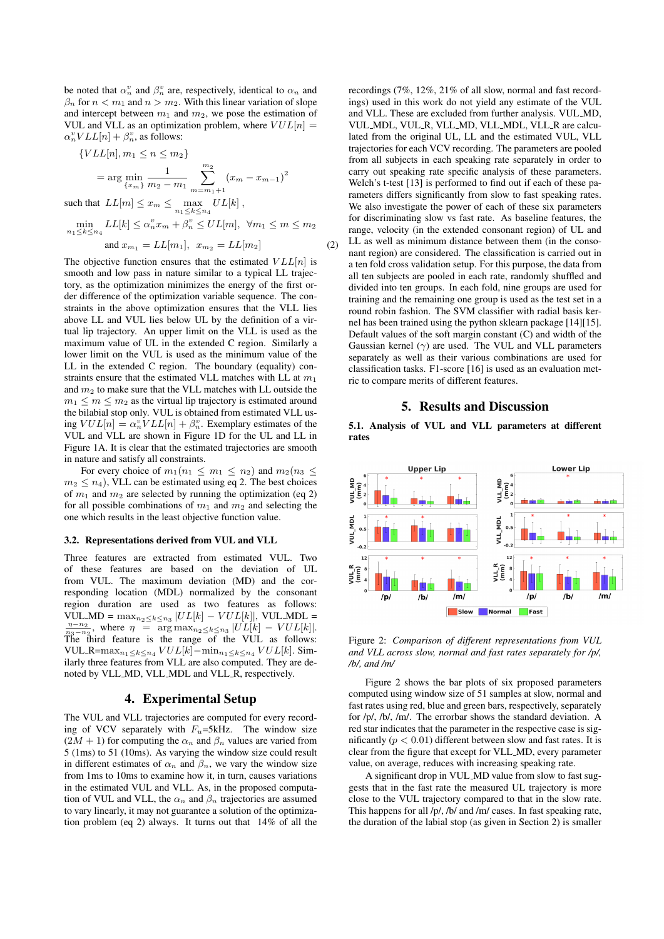be noted that  $\alpha_n^v$  and  $\beta_n^v$  are, respectively, identical to  $\alpha_n$  and  $\beta_n$  for  $n < m_1$  and  $n > m_2$ . With this linear variation of slope and intercept between  $m_1$  and  $m_2$ , we pose the estimation of VUL and VLL as an optimization problem, where  $VUL[n] =$  $\alpha_n^v VLL[n] + \beta_n^v$ , as follows:

$$
\{VLL[n], m_1 \le n \le m_2\}
$$
  
= arg min  $\frac{1}{\{x_m\}}\sum_{m_2-m_1}^{m_2} (x_m - x_{m-1})^2$   
that L[ $m$ ]  $\le$  x  $\le$  may L[ $L$ ]<sup>L</sup>

such that  $LL[m] \leq x_m \leq \max_{n_1 \leq k \leq n_4}$  $UL[k]$ 

$$
\min_{n_1 \le k \le n_4} LL[k] \le \alpha_n^v x_m + \beta_n^v \le UL[m], \ \forall m_1 \le m \le m_2
$$

and 
$$
x_{m_1} = LL[m_1], x_{m_2} = LL[m_2]
$$
 (2)

The objective function ensures that the estimated  $VLL[n]$  is smooth and low pass in nature similar to a typical LL trajectory, as the optimization minimizes the energy of the first order difference of the optimization variable sequence. The constraints in the above optimization ensures that the VLL lies above LL and VUL lies below UL by the definition of a virtual lip trajectory. An upper limit on the VLL is used as the maximum value of UL in the extended C region. Similarly a lower limit on the VUL is used as the minimum value of the LL in the extended C region. The boundary (equality) constraints ensure that the estimated VLL matches with LL at  $m_1$ and  $m_2$  to make sure that the VLL matches with LL outside the  $m_1 \leq m \leq m_2$  as the virtual lip trajectory is estimated around the bilabial stop only. VUL is obtained from estimated VLL using  $VUL[n] = \alpha_n^v VLL[n] + \beta_n^v$ . Exemplary estimates of the VUL and VLL are shown in Figure 1D for the UL and LL in Figure 1A. It is clear that the estimated trajectories are smooth in nature and satisfy all constraints.

For every choice of  $m_1(n_1 \leq m_1 \leq n_2)$  and  $m_2(n_3 \leq$  $m_2 \leq n_4$ ), VLL can be estimated using eq 2. The best choices of  $m_1$  and  $m_2$  are selected by running the optimization (eq 2) for all possible combinations of  $m_1$  and  $m_2$  and selecting the one which results in the least objective function value.

#### 3.2. Representations derived from VUL and VLL

Three features are extracted from estimated VUL. Two of these features are based on the deviation of UL from VUL. The maximum deviation (MD) and the corresponding location (MDL) normalized by the consonant region duration are used as two features as follows: VUL\_MD =  $\max_{n_2 \leq k \leq n_3} |UL[k] - VUL[k]|$ , VUL\_MDL =  $\frac{\eta - n_2}{n_3 - n_2}$ , where  $\eta = \arg \max_{n_2 \le k \le n_3} |U_L[k] - VUL[k]|$ . The third feature is the range of the VUL as follows: VUL\_R= $\max_{n_1\leq k\leq n_4} VUL[k]-\min_{n_1\leq k\leq n_4} VUL[k]$ . Similarly three features from VLL are also computed. They are denoted by VLL MD, VLL MDL and VLL R, respectively.

#### 4. Experimental Setup

The VUL and VLL trajectories are computed for every recording of VCV separately with  $F_u = 5kHz$ . The window size  $(2M + 1)$  for computing the  $\alpha_n$  and  $\beta_n$  values are varied from 5 (1ms) to 51 (10ms). As varying the window size could result in different estimates of  $\alpha_n$  and  $\beta_n$ , we vary the window size from 1ms to 10ms to examine how it, in turn, causes variations in the estimated VUL and VLL. As, in the proposed computation of VUL and VLL, the  $\alpha_n$  and  $\beta_n$  trajectories are assumed to vary linearly, it may not guarantee a solution of the optimization problem (eq 2) always. It turns out that 14% of all the

recordings (7%, 12%, 21% of all slow, normal and fast recordings) used in this work do not yield any estimate of the VUL and VLL. These are excluded from further analysis. VUL MD, VUL MDL, VUL R, VLL MD, VLL MDL, VLL R are calculated from the original UL, LL and the estimated VUL, VLL trajectories for each VCV recording. The parameters are pooled from all subjects in each speaking rate separately in order to carry out speaking rate specific analysis of these parameters. Welch's t-test [13] is performed to find out if each of these parameters differs significantly from slow to fast speaking rates. We also investigate the power of each of these six parameters for discriminating slow vs fast rate. As baseline features, the range, velocity (in the extended consonant region) of UL and LL as well as minimum distance between them (in the consonant region) are considered. The classification is carried out in a ten fold cross validation setup. For this purpose, the data from all ten subjects are pooled in each rate, randomly shuffled and divided into ten groups. In each fold, nine groups are used for training and the remaining one group is used as the test set in a round robin fashion. The SVM classifier with radial basis kernel has been trained using the python sklearn package [14][15]. Default values of the soft margin constant (C) and width of the Gaussian kernel  $(\gamma)$  are used. The VUL and VLL parameters separately as well as their various combinations are used for classification tasks. F1-score [16] is used as an evaluation metric to compare merits of different features.

#### 5. Results and Discussion

5.1. Analysis of VUL and VLL parameters at different rates



Figure 2: *Comparison of different representations from VUL and VLL across slow, normal and fast rates separately for /p/, /b/, and /m/*

Figure 2 shows the bar plots of six proposed parameters computed using window size of 51 samples at slow, normal and fast rates using red, blue and green bars, respectively, separately for /p/, /b/, /m/. The errorbar shows the standard deviation. A red star indicates that the parameter in the respective case is significantly ( $p < 0.01$ ) different between slow and fast rates. It is clear from the figure that except for VLL MD, every parameter value, on average, reduces with increasing speaking rate.

A significant drop in VUL MD value from slow to fast suggests that in the fast rate the measured UL trajectory is more close to the VUL trajectory compared to that in the slow rate. This happens for all  $/p/$ ,  $/b/$  and  $/m/$  cases. In fast speaking rate, the duration of the labial stop (as given in Section 2) is smaller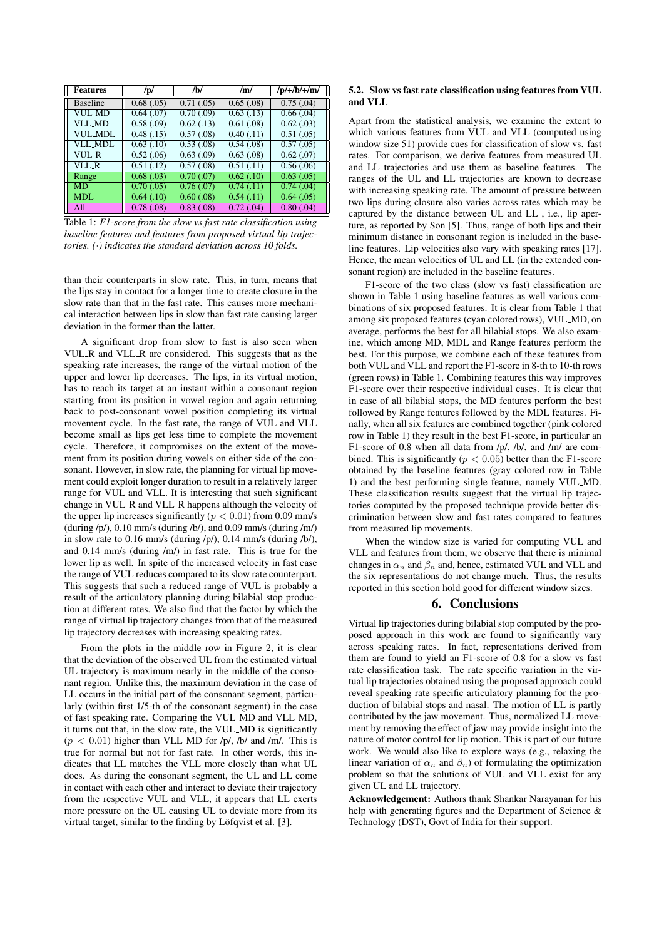| <b>Features</b> | /p/        | /b/                     | /m/                     | $/p/+/b/+/m/$ |
|-----------------|------------|-------------------------|-------------------------|---------------|
| <b>Baseline</b> | 0.68(0.05) | 0.71(0.05)              | 0.65(.08)               | 0.75(.04)     |
| VUL MD          | 0.64(0.07) | 0.70(0.09)              | 0.63(0.13)              | 0.66(.04)     |
| <b>VLL_MD</b>   | 0.58(0.09) | 0.62(0.13)              | 0.61(0.08)              | 0.62(0.03)    |
| VUL MDL         | 0.48(0.15) | 0.57(0.08)              | 0.40(0.11)              | 0.51(0.05)    |
| VLL MDL         | 0.63(0.10) | 0.53(0.08)              | 0.54(0.08)              | 0.57(0.05)    |
| VUL R           | 0.52(0.06) | $\overline{0.63}$ (.09) | $\overline{0.63}$ (.08) | 0.62(0.07)    |
| VLL_R           | 0.51(0.12) | 0.57(0.08)              | 0.51(0.11)              | 0.56(.06)     |
| Range           | 0.68(0.03) | 0.70(0.07)              | $\overline{0.62}$ (.10) | 0.63(0.05)    |
| <b>MD</b>       | 0.70(0.05) | 0.76(0.07)              | 0.74(0.11)              | 0.74(.04)     |
| <b>MDL</b>      | 0.64(0.10) | 0.60(0.08)              | 0.54(0.11)              | 0.64(0.05)    |
| A11             | 0.78(.08)  | 0.83(0.08)              | 0.72(0.04)              | 0.80(.04)     |

Table 1: *F1-score from the slow vs fast rate classification using baseline features and features from proposed virtual lip trajectories. (*·*) indicates the standard deviation across 10 folds.*

than their counterparts in slow rate. This, in turn, means that the lips stay in contact for a longer time to create closure in the slow rate than that in the fast rate. This causes more mechanical interaction between lips in slow than fast rate causing larger deviation in the former than the latter.

A significant drop from slow to fast is also seen when VUL R and VLL R are considered. This suggests that as the speaking rate increases, the range of the virtual motion of the upper and lower lip decreases. The lips, in its virtual motion, has to reach its target at an instant within a consonant region starting from its position in vowel region and again returning back to post-consonant vowel position completing its virtual movement cycle. In the fast rate, the range of VUL and VLL become small as lips get less time to complete the movement cycle. Therefore, it compromises on the extent of the movement from its position during vowels on either side of the consonant. However, in slow rate, the planning for virtual lip movement could exploit longer duration to result in a relatively larger range for VUL and VLL. It is interesting that such significant change in VUL R and VLL R happens although the velocity of the upper lip increases significantly ( $p < 0.01$ ) from 0.09 mm/s  $(\text{during } /p/), 0.10 \text{ mm/s } (\text{during } /b/), \text{ and } 0.09 \text{ mm/s } (\text{during } /m/)$ in slow rate to 0.16 mm/s (during /p/), 0.14 mm/s (during /b/), and 0.14 mm/s (during /m/) in fast rate. This is true for the lower lip as well. In spite of the increased velocity in fast case the range of VUL reduces compared to its slow rate counterpart. This suggests that such a reduced range of VUL is probably a result of the articulatory planning during bilabial stop production at different rates. We also find that the factor by which the range of virtual lip trajectory changes from that of the measured lip trajectory decreases with increasing speaking rates.

From the plots in the middle row in Figure 2, it is clear that the deviation of the observed UL from the estimated virtual UL trajectory is maximum nearly in the middle of the consonant region. Unlike this, the maximum deviation in the case of LL occurs in the initial part of the consonant segment, particularly (within first 1/5-th of the consonant segment) in the case of fast speaking rate. Comparing the VUL MD and VLL MD, it turns out that, in the slow rate, the VUL MD is significantly  $(p < 0.01)$  higher than VLL\_MD for /p/, /b/ and /m/. This is true for normal but not for fast rate. In other words, this indicates that LL matches the VLL more closely than what UL does. As during the consonant segment, the UL and LL come in contact with each other and interact to deviate their trajectory from the respective VUL and VLL, it appears that LL exerts more pressure on the UL causing UL to deviate more from its virtual target, similar to the finding by Löfqvist et al. [3].

### 5.2. Slow vs fast rate classification using features from VUL and VLL

Apart from the statistical analysis, we examine the extent to which various features from VUL and VLL (computed using window size 51) provide cues for classification of slow vs. fast rates. For comparison, we derive features from measured UL and LL trajectories and use them as baseline features. The ranges of the UL and LL trajectories are known to decrease with increasing speaking rate. The amount of pressure between two lips during closure also varies across rates which may be captured by the distance between UL and LL , i.e., lip aperture, as reported by Son [5]. Thus, range of both lips and their minimum distance in consonant region is included in the baseline features. Lip velocities also vary with speaking rates [17]. Hence, the mean velocities of UL and LL (in the extended consonant region) are included in the baseline features.

F1-score of the two class (slow vs fast) classification are shown in Table 1 using baseline features as well various combinations of six proposed features. It is clear from Table 1 that among six proposed features (cyan colored rows), VUL MD, on average, performs the best for all bilabial stops. We also examine, which among MD, MDL and Range features perform the best. For this purpose, we combine each of these features from both VUL and VLL and report the F1-score in 8-th to 10-th rows (green rows) in Table 1. Combining features this way improves F1-score over their respective individual cases. It is clear that in case of all bilabial stops, the MD features perform the best followed by Range features followed by the MDL features. Finally, when all six features are combined together (pink colored row in Table 1) they result in the best F1-score, in particular an F1-score of 0.8 when all data from /p/, /b/, and /m/ are combined. This is significantly ( $p < 0.05$ ) better than the F1-score obtained by the baseline features (gray colored row in Table 1) and the best performing single feature, namely VUL MD. These classification results suggest that the virtual lip trajectories computed by the proposed technique provide better discrimination between slow and fast rates compared to features from measured lip movements.

When the window size is varied for computing VUL and VLL and features from them, we observe that there is minimal changes in  $\alpha_n$  and  $\beta_n$  and, hence, estimated VUL and VLL and the six representations do not change much. Thus, the results reported in this section hold good for different window sizes.

# 6. Conclusions

Virtual lip trajectories during bilabial stop computed by the proposed approach in this work are found to significantly vary across speaking rates. In fact, representations derived from them are found to yield an F1-score of 0.8 for a slow vs fast rate classification task. The rate specific variation in the virtual lip trajectories obtained using the proposed approach could reveal speaking rate specific articulatory planning for the production of bilabial stops and nasal. The motion of LL is partly contributed by the jaw movement. Thus, normalized LL movement by removing the effect of jaw may provide insight into the nature of motor control for lip motion. This is part of our future work. We would also like to explore ways (e.g., relaxing the linear variation of  $\alpha_n$  and  $\beta_n$ ) of formulating the optimization problem so that the solutions of VUL and VLL exist for any given UL and LL trajectory.

Acknowledgement: Authors thank Shankar Narayanan for his help with generating figures and the Department of Science & Technology (DST), Govt of India for their support.